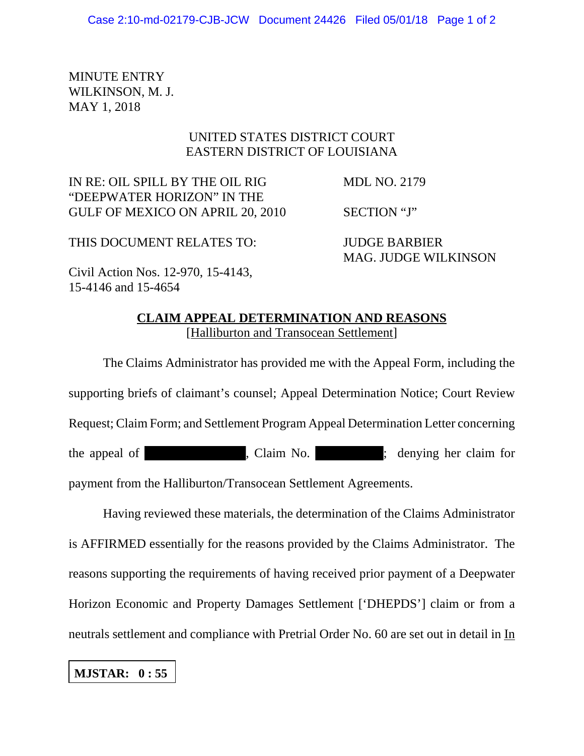MINUTE ENTRY WILKINSON, M. J. MAY 1, 2018

## UNITED STATES DISTRICT COURT EASTERN DISTRICT OF LOUISIANA

IN RE: OIL SPILL BY THE OIL RIG MDL NO. 2179 "DEEPWATER HORIZON" IN THE GULF OF MEXICO ON APRIL 20, 2010 SECTION "J"

THIS DOCUMENT RELATES TO: JUDGE BARBIER

MAG. JUDGE WILKINSON

Civil Action Nos. 12-970, 15-4143, 15-4146 and 15-4654

## **CLAIM APPEAL DETERMINATION AND REASONS** [Halliburton and Transocean Settlement]

The Claims Administrator has provided me with the Appeal Form, including the supporting briefs of claimant's counsel; Appeal Determination Notice; Court Review Request; Claim Form; and Settlement Program Appeal Determination Letter concerning the appeal of claim No. (claim No. ) is denying her claim for payment from the Halliburton/Transocean Settlement Agreements.

Having reviewed these materials, the determination of the Claims Administrator is AFFIRMED essentially for the reasons provided by the Claims Administrator. The reasons supporting the requirements of having received prior payment of a Deepwater Horizon Economic and Property Damages Settlement ['DHEPDS'] claim or from a neutrals settlement and compliance with Pretrial Order No. 60 are set out in detail in In

## **MJSTAR: 0 : 55**